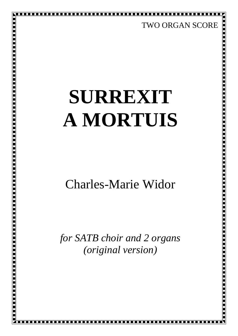TWO ORGAN SCORE

**The Contract of the Contract of the Contract of the Contract of the Contract of the Contract of the Contract o** 

## **SURREXIT A MORTUIS**

Charles-Marie Widor

*for SATB choir and 2 organs (original version)*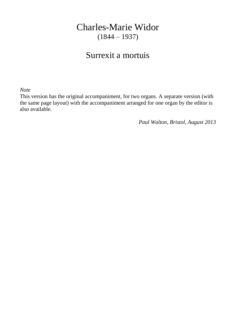## Charles-Marie Widor  $(1844 - 1937)$

## Surrexit a mortuis

*Note*

This version has the original accompaniment, for two organs. A separate version (with the same page layout) with the accompaniment arranged for one organ by the editor is also available.

*Paul Walton, Bristol, August 2013*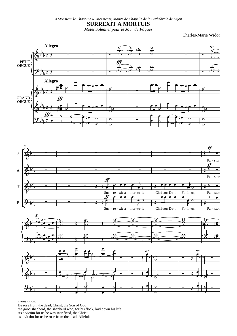*Motet Solennel pour le Jour de Pâques*

Charles-Marie Widor



## *Translation*:

He rose from the dead, Christ, the Son of God, the good shepherd, the shepherd who, for his flock, laid down his life. As a victim for us he was sacrificed, the Christ, as a victim for us he rose from the dead. Alleluia.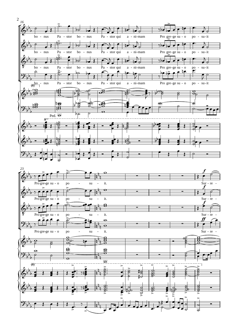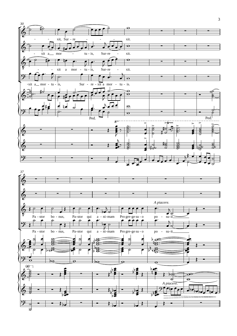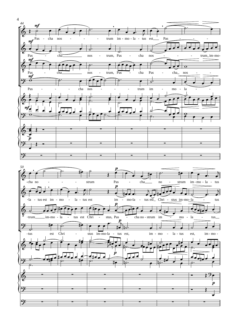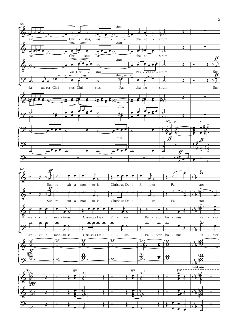

5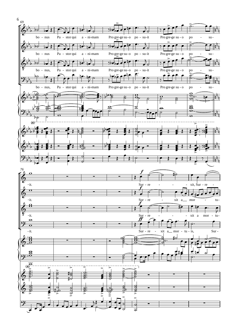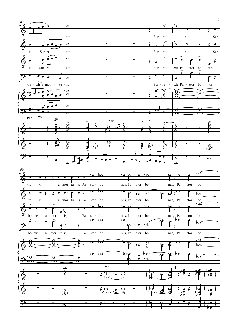

7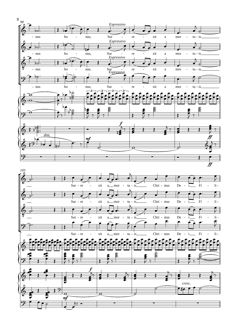